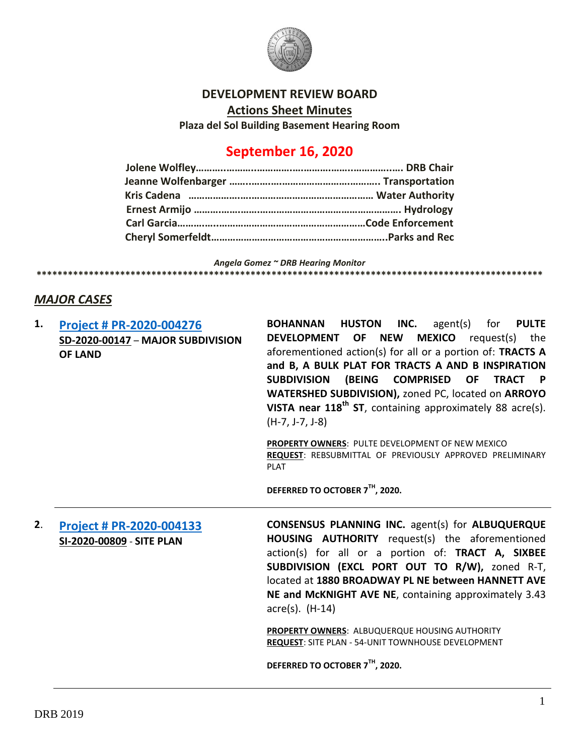

#### **DEVELOPMENT REVIEW BOARD**

**Actions Sheet Minutes**

**Plaza del Sol Building Basement Hearing Room**

# **September 16, 2020**

*Angela Gomez ~ DRB Hearing Monitor*

### *MAJOR CASES*

**1. [Project # PR-2020-004276](http://data.cabq.gov/government/planning/DRB/PR-2020-004276/DRB%20Submittals/PR-2020-004276_Sept_16_2020/New%20Inspiration%20Preliminary%20Plat%20Electronic%20Submittal.pdf) SD-2020-00147** – **MAJOR SUBDIVISION OF LAND BOHANNAN HUSTON INC.** agent(s) for **PULTE DEVELOPMENT OF NEW MEXICO** request(s) the aforementioned action(s) for all or a portion of: **TRACTS A and B, A BULK PLAT FOR TRACTS A AND B INSPIRATION SUBDIVISION (BEING COMPRISED OF TRACT P WATERSHED SUBDIVISION),** zoned PC, located on **ARROYO VISTA near 118th ST**, containing approximately 88 acre(s). (H-7, J-7, J-8) **PROPERTY OWNERS**: PULTE DEVELOPMENT OF NEW MEXICO **REQUEST**: REBSUBMITTAL OF PREVIOUSLY APPROVED PRELIMINARY PLAT

**DEFERRED TO OCTOBER 7TH, 2020.**

**\*\*\*\*\*\*\*\*\*\*\*\*\*\*\*\*\*\*\*\*\*\*\*\*\*\*\*\*\*\*\*\*\*\*\*\*\*\*\*\*\*\*\*\*\*\*\*\*\*\*\*\*\*\*\*\*\*\*\*\*\*\*\*\*\*\*\*\*\*\*\*\*\*\*\*\*\*\*\*\*\*\*\*\*\*\*\*\*\*\*\*\*\*\*\*\*\***

**2**. **[Project # PR-2020-004133](http://data.cabq.gov/government/planning/DRB/PR-2020-004133/DRB%20Submittals/PR-2020-004133_Sept_16_2020/Application/AHA%201880%20Broadway%20Site%20Plan%20DRB%20Application.pdf) SI-2020-00809** - **SITE PLAN CONSENSUS PLANNING INC.** agent(s) for **ALBUQUERQUE HOUSING AUTHORITY** request(s) the aforementioned action(s) for all or a portion of: **TRACT A, SIXBEE SUBDIVISION (EXCL PORT OUT TO R/W),** zoned R-T, located at **1880 BROADWAY PL NE between HANNETT AVE NE and McKNIGHT AVE NE**, containing approximately 3.43 acre(s). (H-14)

> **PROPERTY OWNERS**: ALBUQUERQUE HOUSING AUTHORITY **REQUEST**: SITE PLAN - 54-UNIT TOWNHOUSE DEVELOPMENT

**DEFERRED TO OCTOBER 7TH, 2020.**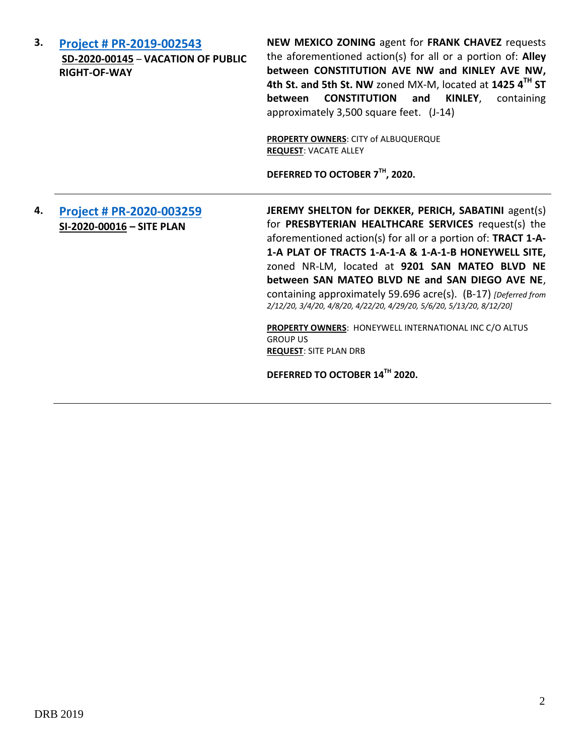| 3. | Project # PR-2019-002543<br>SD-2020-00145 - VACATION OF PUBLIC<br><b>RIGHT-OF-WAY</b> | NEW MEXICO ZONING agent for FRANK CHAVEZ requests<br>the aforementioned action(s) for all or a portion of: Alley<br>between CONSTITUTION AVE NW and KINLEY AVE NW,<br>4th St. and 5th St. NW zoned MX-M, located at 1425 4TH ST<br><b>CONSTITUTION</b><br>KINLEY,<br>between<br>and<br>containing<br>approximately 3,500 square feet. (J-14)<br><b>PROPERTY OWNERS: CITY of ALBUQUERQUE</b><br><b>REQUEST: VACATE ALLEY</b><br>DEFERRED TO OCTOBER 7TH, 2020.                                                                                                                                    |
|----|---------------------------------------------------------------------------------------|--------------------------------------------------------------------------------------------------------------------------------------------------------------------------------------------------------------------------------------------------------------------------------------------------------------------------------------------------------------------------------------------------------------------------------------------------------------------------------------------------------------------------------------------------------------------------------------------------|
| 4. | Project # PR-2020-003259<br>SI-2020-00016 - SITE PLAN                                 | JEREMY SHELTON for DEKKER, PERICH, SABATINI agent(s)<br>for PRESBYTERIAN HEALTHCARE SERVICES request(s) the<br>aforementioned action(s) for all or a portion of: TRACT 1-A-<br>1-A PLAT OF TRACTS 1-A-1-A & 1-A-1-B HONEYWELL SITE,<br>zoned NR-LM, located at 9201 SAN MATEO BLVD NE<br>between SAN MATEO BLVD NE and SAN DIEGO AVE NE,<br>containing approximately 59.696 acre(s). (B-17) [Deferred from<br>2/12/20, 3/4/20, 4/8/20, 4/22/20, 4/29/20, 5/6/20, 5/13/20, 8/12/20]<br>PROPERTY OWNERS: HONEYWELL INTERNATIONAL INC C/O ALTUS<br><b>GROUP US</b><br><b>REQUEST: SITE PLAN DRB</b> |

**DEFERRED TO OCTOBER 14TH 2020.**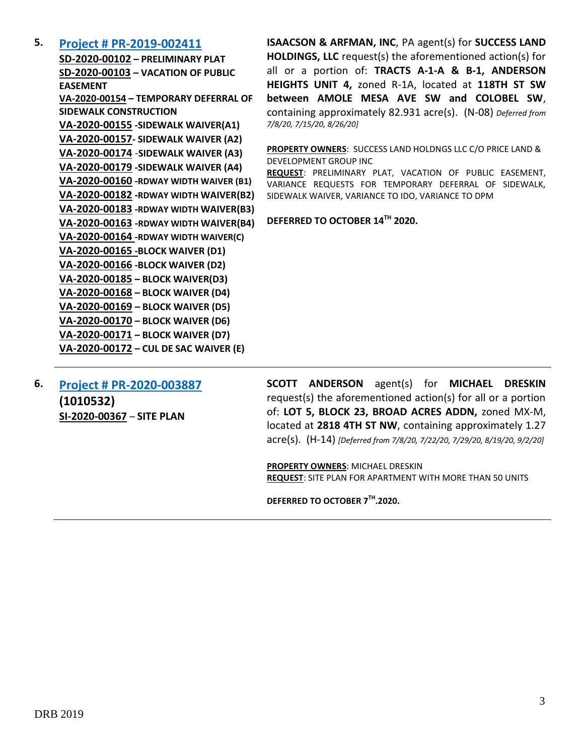#### **5. [Project # PR-2019-002411](http://data.cabq.gov/government/planning/DRB/PR-2019-002411/DRB%20Submittals/PR-2019-002411_Sept_16_2020_Supplemental/Application/)**

**SD-2020-00102 – PRELIMINARY PLAT SD-2020-00103 – VACATION OF PUBLIC EASEMENT VA-2020-00154 – TEMPORARY DEFERRAL OF SIDEWALK CONSTRUCTION VA-2020-00155 -SIDEWALK WAIVER(A1) VA-2020-00157- SIDEWALK WAIVER (A2) VA-2020-00174** -**SIDEWALK WAIVER (A3) VA-2020-00179 -SIDEWALK WAIVER (A4) VA-2020-00160 -RDWAY WIDTH WAIVER (B1) VA-2020-00182 -RDWAY WIDTH WAIVER(B2) VA-2020-00183 -RDWAY WIDTH WAIVER(B3) VA-2020-00163 -RDWAY WIDTH WAIVER(B4) VA-2020-00164 -RDWAY WIDTH WAIVER(C) VA-2020-00165 -BLOCK WAIVER (D1) VA-2020-00166 -BLOCK WAIVER (D2) VA-2020-00185 – BLOCK WAIVER(D3) VA-2020-00168 – BLOCK WAIVER (D4) VA-2020-00169 – BLOCK WAIVER (D5) VA-2020-00170 – BLOCK WAIVER (D6) VA-2020-00171 – BLOCK WAIVER (D7) VA-2020-00172 – CUL DE SAC WAIVER (E)**

**ISAACSON & ARFMAN, INC**, PA agent(s) for **SUCCESS LAND HOLDINGS, LLC** request(s) the aforementioned action(s) for all or a portion of: **TRACTS A-1-A & B-1, ANDERSON HEIGHTS UNIT 4,** zoned R-1A, located at **118TH ST SW between AMOLE MESA AVE SW and COLOBEL SW**, containing approximately 82.931 acre(s). (N-08) *Deferred from 7/8/20, 7/15/20, 8/26/20]*

**PROPERTY OWNERS**: SUCCESS LAND HOLDNGS LLC C/O PRICE LAND & DEVELOPMENT GROUP INC

**REQUEST**: PRELIMINARY PLAT, VACATION OF PUBLIC EASEMENT, VARIANCE REQUESTS FOR TEMPORARY DEFERRAL OF SIDEWALK, SIDEWALK WAIVER, VARIANCE TO IDO, VARIANCE TO DPM

**DEFERRED TO OCTOBER 14TH 2020.**

**6. [Project # PR-2020-003887](http://data.cabq.gov/government/planning/DRB/PR-2020-003887/DRB%20Submittals/PR-2020-003887_Jul_29_2020_Supp/) (1010532) SI-2020-00367** – **SITE PLAN**

**SCOTT ANDERSON** agent(s) for **MICHAEL DRESKIN** request(s) the aforementioned action(s) for all or a portion of: **LOT 5, BLOCK 23, BROAD ACRES ADDN,** zoned MX-M, located at **2818 4TH ST NW**, containing approximately 1.27 acre(s). (H-14) *[Deferred from 7/8/20, 7/22/20, 7/29/20, 8/19/20, 9/2/20]*

**PROPERTY OWNERS**: MICHAEL DRESKIN **REQUEST**: SITE PLAN FOR APARTMENT WITH MORE THAN 50 UNITS

**DEFERRED TO OCTOBER 7TH .2020.**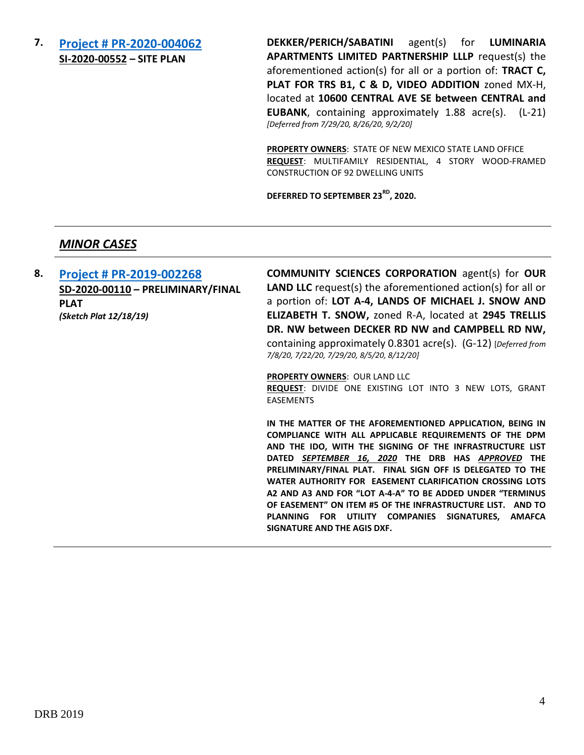## **7. [Project # PR-2020-004062](http://data.cabq.gov/government/planning/DRB/PR-2020-004062/DRB%20Submittals/PR-2020-004062_Sept_16_2020_Supplemental/Application/) SI-2020-00552 – SITE PLAN**

**DEKKER/PERICH/SABATINI** agent(s) for **LUMINARIA APARTMENTS LIMITED PARTNERSHIP LLLP** request(s) the aforementioned action(s) for all or a portion of: **TRACT C, PLAT FOR TRS B1, C & D, VIDEO ADDITION** zoned MX-H, located at **10600 CENTRAL AVE SE between CENTRAL and EUBANK**, containing approximately 1.88 acre(s). (L-21) *[Deferred from 7/29/20, 8/26/20, 9/2/20]*

**PROPERTY OWNERS**: STATE OF NEW MEXICO STATE LAND OFFICE **REQUEST**: MULTIFAMILY RESIDENTIAL, 4 STORY WOOD-FRAMED CONSTRUCTION OF 92 DWELLING UNITS

**DEFERRED TO SEPTEMBER 23RD, 2020.**

#### *MINOR CASES*

**8. [Project # PR-2019-002268](http://data.cabq.gov/government/planning/DRB/PR-2019-002268/DRB%20Submittals/PR-2019-002268_Sept_16_2020_Supplemental/Application/) SD-2020-00110 – PRELIMINARY/FINAL PLAT** *(Sketch Plat 12/18/19)*

**COMMUNITY SCIENCES CORPORATION** agent(s) for **OUR LAND LLC** request(s) the aforementioned action(s) for all or a portion of: **LOT A-4, LANDS OF MICHAEL J. SNOW AND ELIZABETH T. SNOW,** zoned R-A, located at **2945 TRELLIS DR. NW between DECKER RD NW and CAMPBELL RD NW,** containing approximately 0.8301 acre(s). (G-12) [*Deferred from 7/8/20, 7/22/20, 7/29/20, 8/5/20, 8/12/20]*

#### **PROPERTY OWNERS**: OUR LAND LLC

**REQUEST**: DIVIDE ONE EXISTING LOT INTO 3 NEW LOTS, GRANT EASEMENTS

**IN THE MATTER OF THE AFOREMENTIONED APPLICATION, BEING IN COMPLIANCE WITH ALL APPLICABLE REQUIREMENTS OF THE DPM AND THE IDO, WITH THE SIGNING OF THE INFRASTRUCTURE LIST DATED** *SEPTEMBER 16, 2020* **THE DRB HAS** *APPROVED* **THE PRELIMINARY/FINAL PLAT. FINAL SIGN OFF IS DELEGATED TO THE WATER AUTHORITY FOR EASEMENT CLARIFICATION CROSSING LOTS A2 AND A3 AND FOR "LOT A-4-A" TO BE ADDED UNDER "TERMINUS OF EASEMENT" ON ITEM #5 OF THE INFRASTRUCTURE LIST. AND TO PLANNING FOR UTILITY COMPANIES SIGNATURES, AMAFCA SIGNATURE AND THE AGIS DXF.**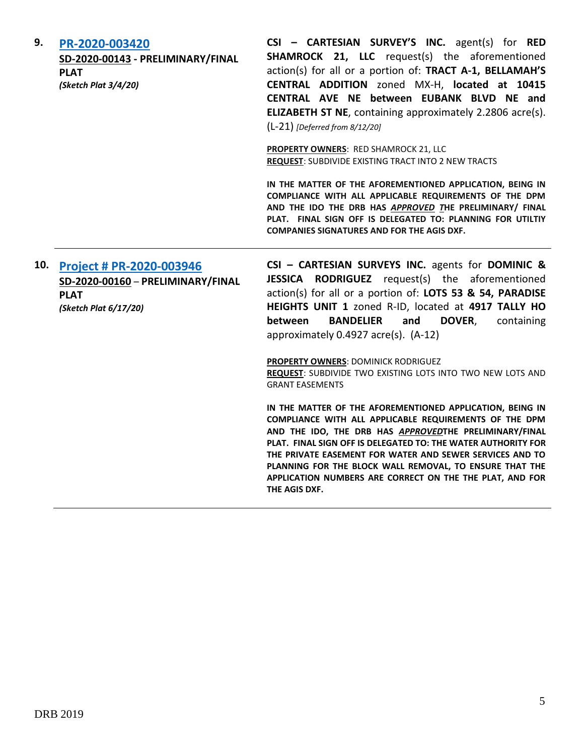| 9.  | PR-2020-003420<br>SD-2020-00143 - PRELIMINARY/FINAL<br><b>PLAT</b><br>(Sketch Plat 3/4/20)            | CSI - CARTESIAN SURVEY'S INC. agent(s) for RED<br><b>SHAMROCK 21, LLC</b> request(s) the aforementioned<br>action(s) for all or a portion of: TRACT A-1, BELLAMAH'S<br>CENTRAL ADDITION zoned MX-H, located at 10415<br>CENTRAL AVE NE between EUBANK BLVD NE and<br><b>ELIZABETH ST NE, containing approximately 2.2806 acre(s).</b><br>$(L-21)$ [Deferred from 8/12/20]<br><b>PROPERTY OWNERS: RED SHAMROCK 21, LLC</b><br><b>REQUEST: SUBDIVIDE EXISTING TRACT INTO 2 NEW TRACTS</b><br>IN THE MATTER OF THE AFOREMENTIONED APPLICATION, BEING IN<br>COMPLIANCE WITH ALL APPLICABLE REQUIREMENTS OF THE DPM<br>AND THE IDO THE DRB HAS APPROVED THE PRELIMINARY/ FINAL<br>PLAT. FINAL SIGN OFF IS DELEGATED TO: PLANNING FOR UTILTIY<br><b>COMPANIES SIGNATURES AND FOR THE AGIS DXF.</b>                                                                                                                               |
|-----|-------------------------------------------------------------------------------------------------------|----------------------------------------------------------------------------------------------------------------------------------------------------------------------------------------------------------------------------------------------------------------------------------------------------------------------------------------------------------------------------------------------------------------------------------------------------------------------------------------------------------------------------------------------------------------------------------------------------------------------------------------------------------------------------------------------------------------------------------------------------------------------------------------------------------------------------------------------------------------------------------------------------------------------------|
| 10. | Project # PR-2020-003946<br>SD-2020-00160 - PRELIMINARY/FINAL<br><b>PLAT</b><br>(Sketch Plat 6/17/20) | CSI - CARTESIAN SURVEYS INC. agents for DOMINIC &<br>JESSICA RODRIGUEZ request(s) the aforementioned<br>action(s) for all or a portion of: LOTS 53 & 54, PARADISE<br>HEIGHTS UNIT 1 zoned R-ID, located at 4917 TALLY HO<br><b>BANDELIER</b><br>and<br>between<br>DOVER,<br>containing<br>approximately 0.4927 acre(s). (A-12)<br><b>PROPERTY OWNERS: DOMINICK RODRIGUEZ</b><br>REQUEST: SUBDIVIDE TWO EXISTING LOTS INTO TWO NEW LOTS AND<br><b>GRANT EASEMENTS</b><br>IN THE MATTER OF THE AFOREMENTIONED APPLICATION, BEING IN<br>COMPLIANCE WITH ALL APPLICABLE REQUIREMENTS OF THE DPM<br>AND THE IDO, THE DRB HAS APPROVEDTHE PRELIMINARY/FINAL<br>PLAT. FINAL SIGN OFF IS DELEGATED TO: THE WATER AUTHORITY FOR<br>THE PRIVATE EASEMENT FOR WATER AND SEWER SERVICES AND TO<br>PLANNING FOR THE BLOCK WALL REMOVAL, TO ENSURE THAT THE<br>APPLICATION NUMBERS ARE CORRECT ON THE THE PLAT, AND FOR<br>THE AGIS DXF. |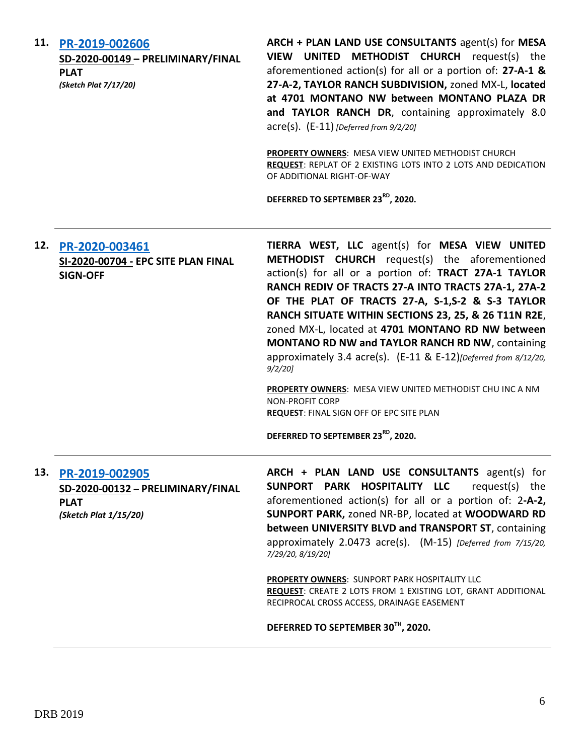| 11. | PR-2019-002606<br>SD-2020-00149 - PRELIMINARY/FINAL<br><b>PLAT</b><br>(Sketch Plat 7/17/20) | ARCH + PLAN LAND USE CONSULTANTS agent(s) for MESA<br>VIEW UNITED METHODIST CHURCH request(s) the<br>aforementioned action(s) for all or a portion of: 27-A-1 &<br>27-A-2, TAYLOR RANCH SUBDIVISION, zoned MX-L, located<br>at 4701 MONTANO NW between MONTANO PLAZA DR<br>and TAYLOR RANCH DR, containing approximately 8.0<br>$\text{acre}(s)$ . $(E-11)$ [Deferred from 9/2/20]<br>PROPERTY OWNERS: MESA VIEW UNITED METHODIST CHURCH<br>REQUEST: REPLAT OF 2 EXISTING LOTS INTO 2 LOTS AND DEDICATION<br>OF ADDITIONAL RIGHT-OF-WAY<br>DEFERRED TO SEPTEMBER 23 <sup>RD</sup> , 2020.                                                                                                                                 |
|-----|---------------------------------------------------------------------------------------------|---------------------------------------------------------------------------------------------------------------------------------------------------------------------------------------------------------------------------------------------------------------------------------------------------------------------------------------------------------------------------------------------------------------------------------------------------------------------------------------------------------------------------------------------------------------------------------------------------------------------------------------------------------------------------------------------------------------------------|
| 12. | PR-2020-003461<br>SI-2020-00704 - EPC SITE PLAN FINAL<br><b>SIGN-OFF</b>                    | TIERRA WEST, LLC agent(s) for MESA VIEW UNITED<br>METHODIST CHURCH request(s) the aforementioned<br>action(s) for all or a portion of: TRACT 27A-1 TAYLOR<br>RANCH REDIV OF TRACTS 27-A INTO TRACTS 27A-1, 27A-2<br>OF THE PLAT OF TRACTS 27-A, S-1,S-2 & S-3 TAYLOR<br>RANCH SITUATE WITHIN SECTIONS 23, 25, & 26 T11N R2E,<br>zoned MX-L, located at 4701 MONTANO RD NW between<br><b>MONTANO RD NW and TAYLOR RANCH RD NW, containing</b><br>approximately 3.4 acre(s). (E-11 & E-12) [Deferred from 8/12/20,<br>$9/2/20$ ]<br>PROPERTY OWNERS: MESA VIEW UNITED METHODIST CHU INC A NM<br><b>NON-PROFIT CORP</b><br><b>REQUEST: FINAL SIGN OFF OF EPC SITE PLAN</b><br>DEFERRED TO SEPTEMBER 23 <sup>RD</sup> , 2020. |
| 13. | PR-2019-002905<br>SD-2020-00132 - PRELIMINARY/FINAL<br><b>PLAT</b><br>(Sketch Plat 1/15/20) | ARCH + PLAN LAND USE CONSULTANTS agent(s) for<br>SUNPORT PARK HOSPITALITY LLC<br>request(s) the<br>aforementioned action(s) for all or a portion of: $2-A-2$ ,<br>SUNPORT PARK, zoned NR-BP, located at WOODWARD RD<br>between UNIVERSITY BLVD and TRANSPORT ST, containing<br>approximately 2.0473 acre(s). (M-15) [Deferred from 7/15/20,<br>7/29/20, 8/19/20]<br><b>PROPERTY OWNERS: SUNPORT PARK HOSPITALITY LLC</b><br>REQUEST: CREATE 2 LOTS FROM 1 EXISTING LOT, GRANT ADDITIONAL<br>RECIPROCAL CROSS ACCESS, DRAINAGE EASEMENT<br>DEFERRED TO SEPTEMBER 30TH, 2020.                                                                                                                                               |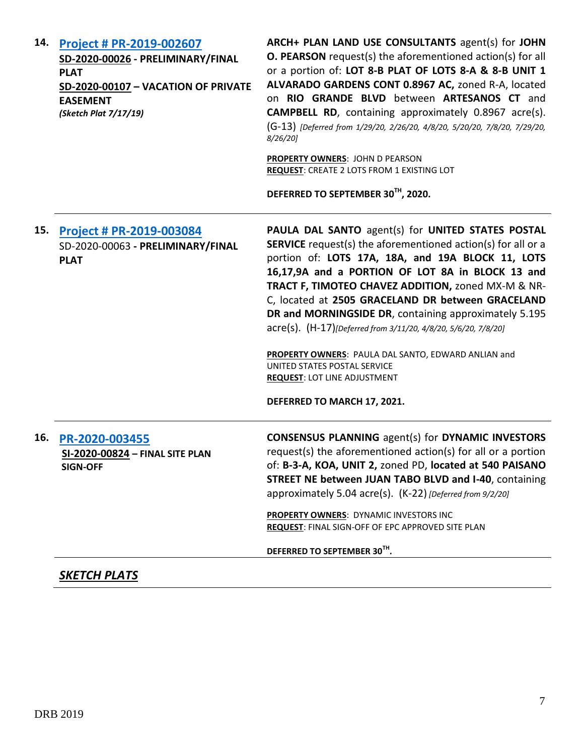| <b>Project # PR-2019-002607</b><br>SD-2020-00026 - PRELIMINARY/FINAL<br><b>PLAT</b><br>SD-2020-00107 - VACATION OF PRIVATE<br><b>EASEMENT</b><br>(Sketch Plat 7/17/19) | ARCH+ PLAN LAND USE CONSULTANTS agent(s) for JOHN<br><b>O. PEARSON</b> request(s) the aforementioned action(s) for all<br>or a portion of: LOT 8-B PLAT OF LOTS 8-A & 8-B UNIT 1<br>ALVARADO GARDENS CONT 0.8967 AC, zoned R-A, located<br>on RIO GRANDE BLVD between ARTESANOS CT and<br><b>CAMPBELL RD</b> , containing approximately 0.8967 acre(s).<br>(G-13) [Deferred from 1/29/20, 2/26/20, 4/8/20, 5/20/20, 7/8/20, 7/29/20,<br>$8/26/20$ ]<br><b>PROPERTY OWNERS: JOHN D PEARSON</b><br>REQUEST: CREATE 2 LOTS FROM 1 EXISTING LOT<br>DEFERRED TO SEPTEMBER 30TH, 2020.                                                     |
|------------------------------------------------------------------------------------------------------------------------------------------------------------------------|--------------------------------------------------------------------------------------------------------------------------------------------------------------------------------------------------------------------------------------------------------------------------------------------------------------------------------------------------------------------------------------------------------------------------------------------------------------------------------------------------------------------------------------------------------------------------------------------------------------------------------------|
| 15.<br><b>Project # PR-2019-003084</b><br>SD-2020-00063 - PRELIMINARY/FINAL<br><b>PLAT</b>                                                                             | PAULA DAL SANTO agent(s) for UNITED STATES POSTAL<br><b>SERVICE</b> request(s) the aforementioned action(s) for all or a<br>portion of: LOTS 17A, 18A, and 19A BLOCK 11, LOTS<br>16,17,9A and a PORTION OF LOT 8A in BLOCK 13 and<br>TRACT F, TIMOTEO CHAVEZ ADDITION, zoned MX-M & NR-<br>C, located at 2505 GRACELAND DR between GRACELAND<br>DR and MORNINGSIDE DR, containing approximately 5.195<br>acre(s). (H-17)[Deferred from 3/11/20, 4/8/20, 5/6/20, 7/8/20]<br>PROPERTY OWNERS: PAULA DAL SANTO, EDWARD ANLIAN and<br>UNITED STATES POSTAL SERVICE<br><b>REQUEST: LOT LINE ADJUSTMENT</b><br>DEFERRED TO MARCH 17, 2021. |
| PR-2020-003455<br>SI-2020-00824 - FINAL SITE PLAN<br><b>SIGN-OFF</b>                                                                                                   | <b>CONSENSUS PLANNING agent(s) for DYNAMIC INVESTORS</b><br>request(s) the aforementioned action(s) for all or a portion<br>of: B-3-A, KOA, UNIT 2, zoned PD, located at 540 PAISANO<br><b>STREET NE between JUAN TABO BLVD and I-40, containing</b><br>approximately 5.04 acre(s). (K-22) [Deferred from 9/2/20]<br>PROPERTY OWNERS: DYNAMIC INVESTORS INC<br><b>REQUEST: FINAL SIGN-OFF OF EPC APPROVED SITE PLAN</b><br>DEFERRED TO SEPTEMBER 30TH.                                                                                                                                                                               |
|                                                                                                                                                                        | <b>SKETCH PLATS</b>                                                                                                                                                                                                                                                                                                                                                                                                                                                                                                                                                                                                                  |